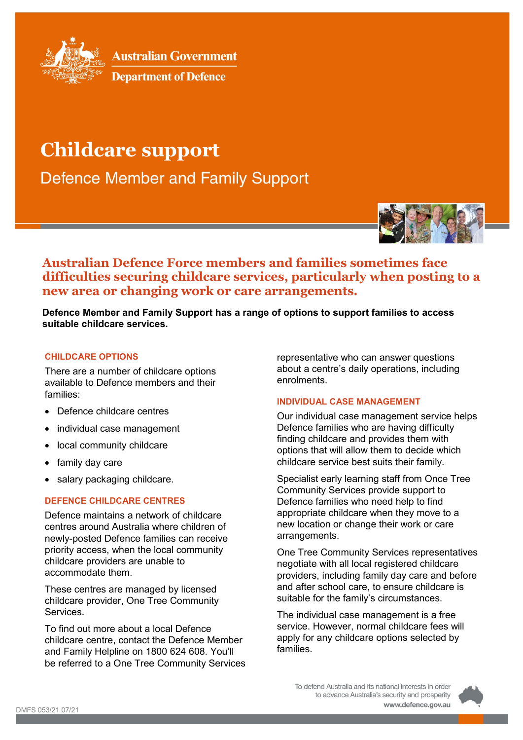

**Australian Government** 

**Department of Defence** 

# **Childcare support**

**Defence Member and Family Support** 



**Australian Defence Force members and families sometimes face difficulties securing childcare services, particularly when posting to a new area or changing work or care arrangements.**

**Defence Member and Family Support has a range of options to support families to access suitable childcare services.**

#### **CHILDCARE OPTIONS**

There are a number of childcare options available to Defence members and their families:

- Defence childcare centres
- individual case management
- local community childcare
- family day care
- salary packaging childcare.

## **DEFENCE CHILDCARE CENTRES**

Defence maintains a network of childcare centres around Australia where children of newly-posted Defence families can receive priority access, when the local community childcare providers are unable to accommodate them.

These centres are managed by licensed childcare provider, One Tree Community **Services** 

To find out more about a local Defence childcare centre, contact the Defence Member and Family Helpline on 1800 624 608. You'll be referred to a One Tree Community Services

representative who can answer questions about a centre's daily operations, including enrolments.

## **INDIVIDUAL CASE MANAGEMENT**

Our individual case management service helps Defence families who are having difficulty finding childcare and provides them with options that will allow them to decide which childcare service best suits their family.

Specialist early learning staff from Once Tree Community Services provide support to Defence families who need help to find appropriate childcare when they move to a new location or change their work or care arrangements.

One Tree Community Services representatives negotiate with all local registered childcare providers, including family day care and before and after school care, to ensure childcare is suitable for the family's circumstances.

The individual case management is a free service. However, normal childcare fees will apply for any childcare options selected by families.